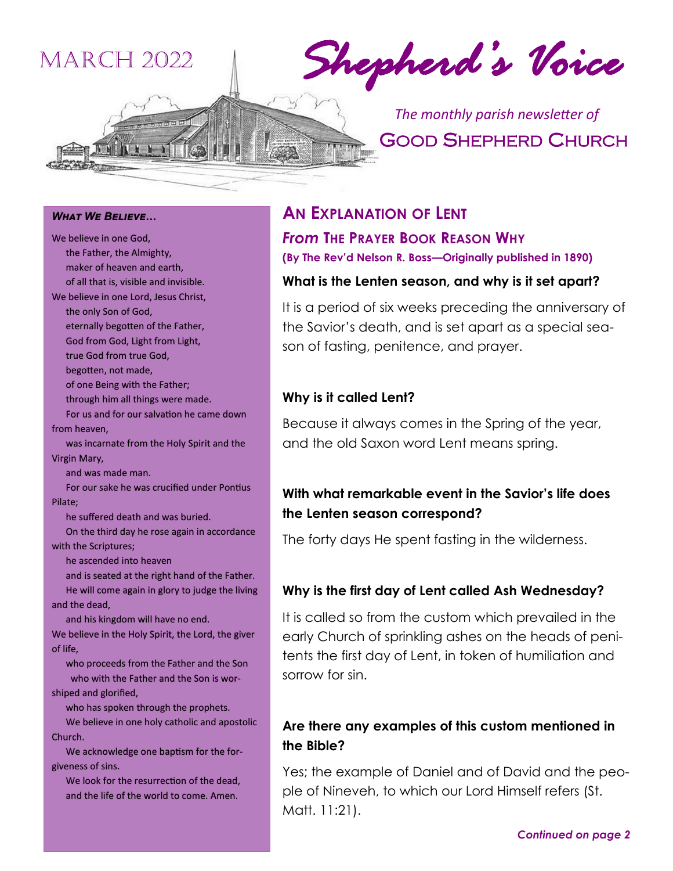# March 2022

*Shepherd's Voice* 

GOOD SHEPHERD CHURCH *The monthly parish newsletter of* 

*What We Believe… We Believe…* We believe in one God, the Father, the Almighty, We believe in one God,<br>the Father, the Almighty,<br>maker of heaven and earth, of all that is, visible and invisible. of all that is, visible and invisible. We believe in one Lord, Jesus Christ, the only Son of God, eternally begotten of the Father, eternally begotten of the Father,God from God, Light from Light, true God from true God, God from true begotten, not made, begotten, not made,<br>of one Being with the Father; through him all things were made. made. For us and for our salvation he came down from heaven, was incarnate from the Holy Spirit and the Virgin Mary, and was made man. For our sake he was crucified under Pontius Pilate; he suffered death and was buried. and was made man.<br>
For our sake he was crucified under Pontius<br>
Pilate;<br>
he suffered death and was buried.<br>
On the third day he rose again in accordance with the Scriptures; Scriptures; he ascended into heaven he ascended into heaven<br>and is seated at the right hand of the Father. He will come again in glory to judge the living<br>and the dead, and the dead, and his kingdom will have no end. We believe in the Holy Spirit, the Lord, the giver of life, who proceeds from the Father and the Son who with the Father and the Son is worshiped and glorified, who with the Father and the Son is w<br>shiped and glorified,<br>who has spoken through the prophets. from heaven,<br>was incarnate from the Holy Spirit and<br>Virgin Mary, and his kingdom will have no end.<br>We believe in the Holy Spirit, the Lord, the give<br>of life,<br>who proceeds from the Father and the Son

We believe in one holy catholic and apostolic<br>Church. Church.

 We acknowledge one baptism for the for- We acknowledge one baptism for the forgiveness of sins.

 We look for the resurrection of the dead, We look for the resurrection of the dead,<br>and the life of the world to come. Amen.

#### **AN EXPLANATION OF LENT**

*From* **THE PRAYER BOOK REASON WHY (By The Rev'd Nelson R. Boss—Originally published in 1890)**

#### **What is the Lenten season, and why is it set apart?**

It is a period of six weeks preceding the anniversary of the Savior's death, and is set apart as a special season of fasting, penitence, and prayer.

#### **Why is it called Lent?**

Because it always comes in the Spring of the year, and the old Saxon word Lent means spring.

#### **With what remarkable event in the Savior's life does the Lenten season correspond?**

The forty days He spent fasting in the wilderness.

#### **Why is the first day of Lent called Ash Wednesday?**

It is called so from the custom which prevailed in the early Church of sprinkling ashes on the heads of penitents the first day of Lent, in token of humiliation and sorrow for sin.

#### **Are there any examples of this custom mentioned in the Bible?**

Yes; the example of Daniel and of David and the people of Nineveh, to which our Lord Himself refers (St. Matt. 11:21).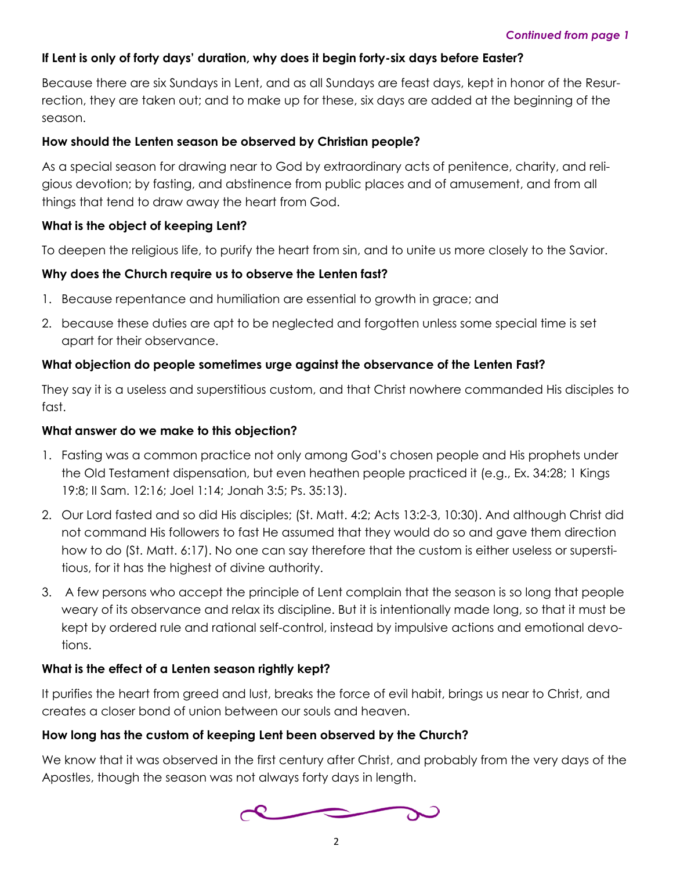#### **If Lent is only of forty days' duration, why does it begin forty-six days before Easter?**

Because there are six Sundays in Lent, and as all Sundays are feast days, kept in honor of the Resurrection, they are taken out; and to make up for these, six days are added at the beginning of the season.

#### **How should the Lenten season be observed by Christian people?**

As a special season for drawing near to God by extraordinary acts of penitence, charity, and religious devotion; by fasting, and abstinence from public places and of amusement, and from all things that tend to draw away the heart from God.

#### **What is the object of keeping Lent?**

To deepen the religious life, to purify the heart from sin, and to unite us more closely to the Savior.

#### **Why does the Church require us to observe the Lenten fast?**

- 1. Because repentance and humiliation are essential to growth in grace; and
- 2. because these duties are apt to be neglected and forgotten unless some special time is set apart for their observance.

#### **What objection do people sometimes urge against the observance of the Lenten Fast?**

They say it is a useless and superstitious custom, and that Christ nowhere commanded His disciples to fast.

#### **What answer do we make to this objection?**

- 1. Fasting was a common practice not only among God's chosen people and His prophets under the Old Testament dispensation, but even heathen people practiced it (e.g., Ex. 34:28; 1 Kings 19:8; II Sam. 12:16; Joel 1:14; Jonah 3:5; Ps. 35:13).
- 2. Our Lord fasted and so did His disciples; (St. Matt. 4:2; Acts 13:2-3, 10:30). And although Christ did not command His followers to fast He assumed that they would do so and gave them direction how to do (St. Matt. 6:17). No one can say therefore that the custom is either useless or superstitious, for it has the highest of divine authority.
- 3. A few persons who accept the principle of Lent complain that the season is so long that people weary of its observance and relax its discipline. But it is intentionally made long, so that it must be kept by ordered rule and rational self-control, instead by impulsive actions and emotional devotions.

#### **What is the effect of a Lenten season rightly kept?**

It purifies the heart from greed and lust, breaks the force of evil habit, brings us near to Christ, and creates a closer bond of union between our souls and heaven.

#### **How long has the custom of keeping Lent been observed by the Church?**

We know that it was observed in the first century after Christ, and probably from the very days of the Apostles, though the season was not always forty days in length.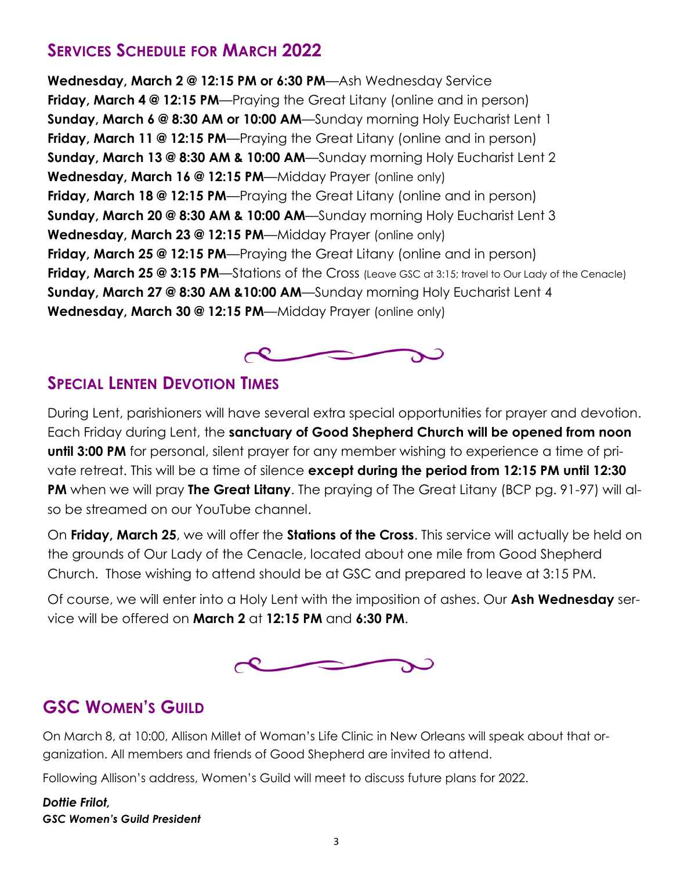## **SERVICES SCHEDULE FOR MARCH 2022**

**Wednesday, March 2 @ 12:15 PM or 6:30 PM**—Ash Wednesday Service **Friday, March 4 @ 12:15 PM**—Praying the Great Litany (online and in person) **Sunday, March 6 @ 8:30 AM or 10:00 AM**—Sunday morning Holy Eucharist Lent 1 **Friday, March 11 @ 12:15 PM**—Praying the Great Litany (online and in person) **Sunday, March 13 @ 8:30 AM & 10:00 AM**—Sunday morning Holy Eucharist Lent 2 **Wednesday, March 16 @ 12:15 PM**—Midday Prayer (online only) **Friday, March 18 @ 12:15 PM**—Praying the Great Litany (online and in person) **Sunday, March 20 @ 8:30 AM & 10:00 AM**—Sunday morning Holy Eucharist Lent 3 **Wednesday, March 23 @ 12:15 PM**—Midday Prayer (online only) **Friday, March 25 @ 12:15 PM**—Praying the Great Litany (online and in person) **Friday, March 25 @ 3:15 PM**—Stations of the Cross (Leave GSC at 3:15; travel to Our Lady of the Cenacle) **Sunday, March 27 @ 8:30 AM &10:00 AM**—Sunday morning Holy Eucharist Lent 4 **Wednesday, March 30 @ 12:15 PM**—Midday Prayer (online only)



### **SPECIAL LENTEN DEVOTION TIMES**

During Lent, parishioners will have several extra special opportunities for prayer and devotion. Each Friday during Lent, the **sanctuary of Good Shepherd Church will be opened from noon until 3:00 PM** for personal, silent prayer for any member wishing to experience a time of private retreat. This will be a time of silence **except during the period from 12:15 PM until 12:30 PM** when we will pray **The Great Litany**. The praying of The Great Litany (BCP pg. 91-97) will also be streamed on our YouTube channel.

On **Friday, March 25**, we will offer the **Stations of the Cross**. This service will actually be held on the grounds of Our Lady of the Cenacle, located about one mile from Good Shepherd Church. Those wishing to attend should be at GSC and prepared to leave at 3:15 PM.

Of course, we will enter into a Holy Lent with the imposition of ashes. Our **Ash Wednesday** service will be offered on **March 2** at **12:15 PM** and **6:30 PM**.



# **GSC WOMEN'S GUILD**

On March 8, at 10:00, Allison Millet of Woman's Life Clinic in New Orleans will speak about that organization. All members and friends of Good Shepherd are invited to attend.

Following Allison's address, Women's Guild will meet to discuss future plans for 2022.

#### *Dottie Frilot, GSC Women's Guild President*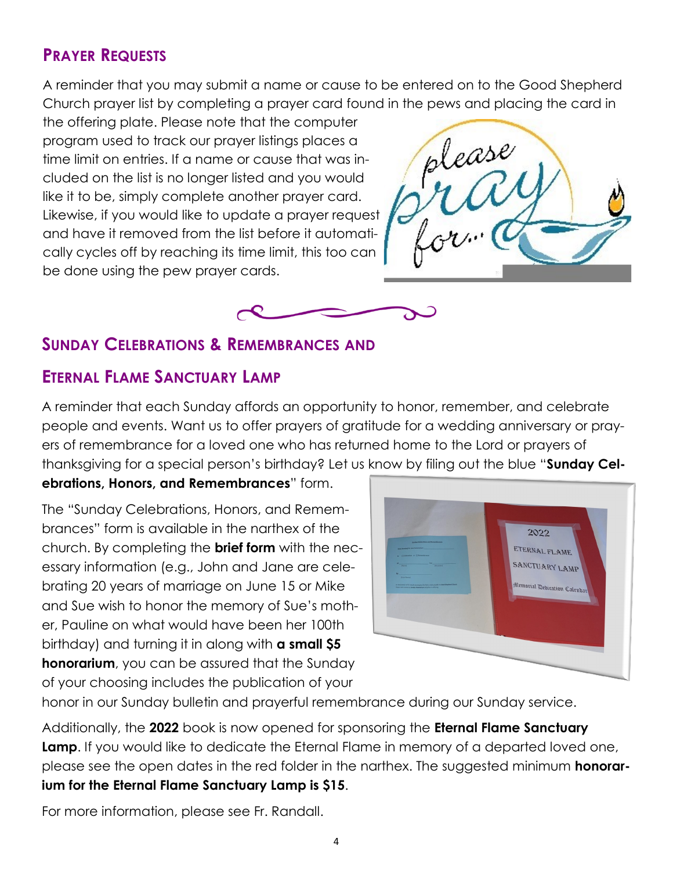# **PRAYER REQUESTS**

A reminder that you may submit a name or cause to be entered on to the Good Shepherd Church prayer list by completing a prayer card found in the pews and placing the card in

the offering plate. Please note that the computer program used to track our prayer listings places a time limit on entries. If a name or cause that was included on the list is no longer listed and you would like it to be, simply complete another prayer card. Likewise, if you would like to update a prayer request and have it removed from the list before it automatically cycles off by reaching its time limit, this too can be done using the pew prayer cards.





### **SUNDAY CELEBRATIONS & REMEMBRANCES AND**

## **ETERNAL FLAME SANCTUARY LAMP**

A reminder that each Sunday affords an opportunity to honor, remember, and celebrate people and events. Want us to offer prayers of gratitude for a wedding anniversary or prayers of remembrance for a loved one who has returned home to the Lord or prayers of thanksgiving for a special person's birthday? Let us know by filing out the blue "**Sunday Cel-**

### **ebrations, Honors, and Remembrances**" form.

The "Sunday Celebrations, Honors, and Remembrances" form is available in the narthex of the church. By completing the **brief form** with the necessary information (e.g., John and Jane are celebrating 20 years of marriage on June 15 or Mike and Sue wish to honor the memory of Sue's mother, Pauline on what would have been her 100th birthday) and turning it in along with **a small \$5 honorarium**, you can be assured that the Sunday of your choosing includes the publication of your



honor in our Sunday bulletin and prayerful remembrance during our Sunday service.

Additionally, the **2022** book is now opened for sponsoring the **Eternal Flame Sanctuary Lamp**. If you would like to dedicate the Eternal Flame in memory of a departed loved one, please see the open dates in the red folder in the narthex. The suggested minimum **honorarium for the Eternal Flame Sanctuary Lamp is \$15**.

For more information, please see Fr. Randall.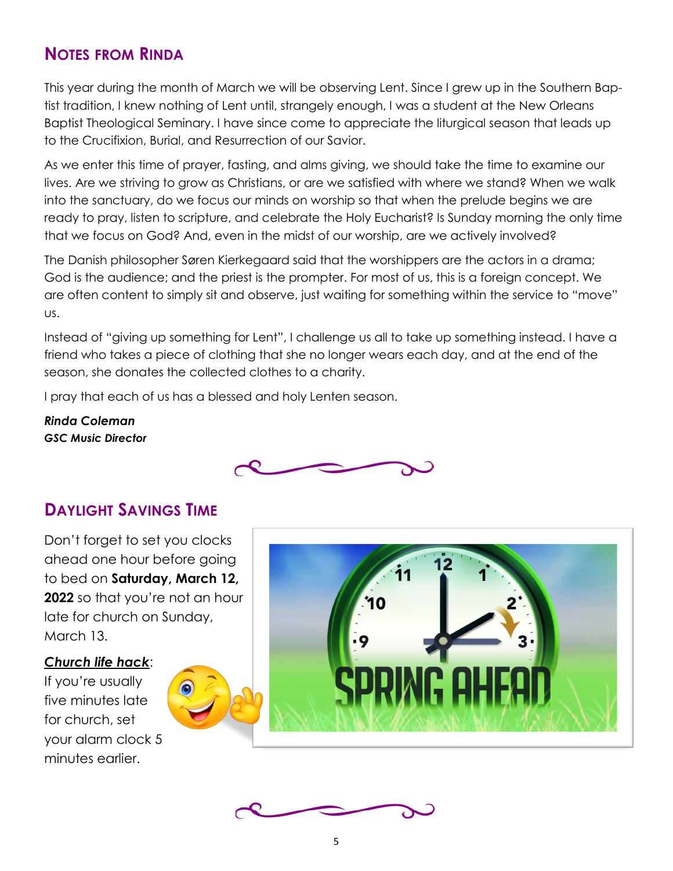### **NOTES FROM RINDA**

This year during the month of March we will be observing Lent. Since I grew up in the Southern Baptist tradition, I knew nothing of Lent until, strangely enough, I was a student at the New Orleans Baptist Theological Seminary. I have since come to appreciate the liturgical season that leads up to the Crucifixion, Burial, and Resurrection of our Savior.

As we enter this time of prayer, fasting, and alms giving, we should take the time to examine our lives. Are we striving to grow as Christians, or are we satisfied with where we stand? When we walk into the sanctuary, do we focus our minds on worship so that when the prelude begins we are ready to pray, listen to scripture, and celebrate the Holy Eucharist? Is Sunday morning the only time that we focus on God? And, even in the midst of our worship, are we actively involved?

The Danish philosopher Søren Kierkegaard said that the worshippers are the actors in a drama; God is the audience; and the priest is the prompter. For most of us, this is a foreign concept. We are often content to simply sit and observe, just waiting for something within the service to "move" us.

Instead of "giving up something for Lent", I challenge us all to take up something instead. I have a friend who takes a piece of clothing that she no longer wears each day, and at the end of the season, she donates the collected clothes to a charity.

I pray that each of us has a blessed and holy Lenten season.

*Rinda Coleman GSC Music Director*



### **DAYLIGHT SAVINGS TIME**

Don't forget to set you clocks ahead one hour before going to bed on **Saturday, March 12, 2022** so that you're not an hour late for church on Sunday, March 13.

#### *Church life hack*:

If you're usually five minutes late for church, set your alarm clock 5 minutes earlier.





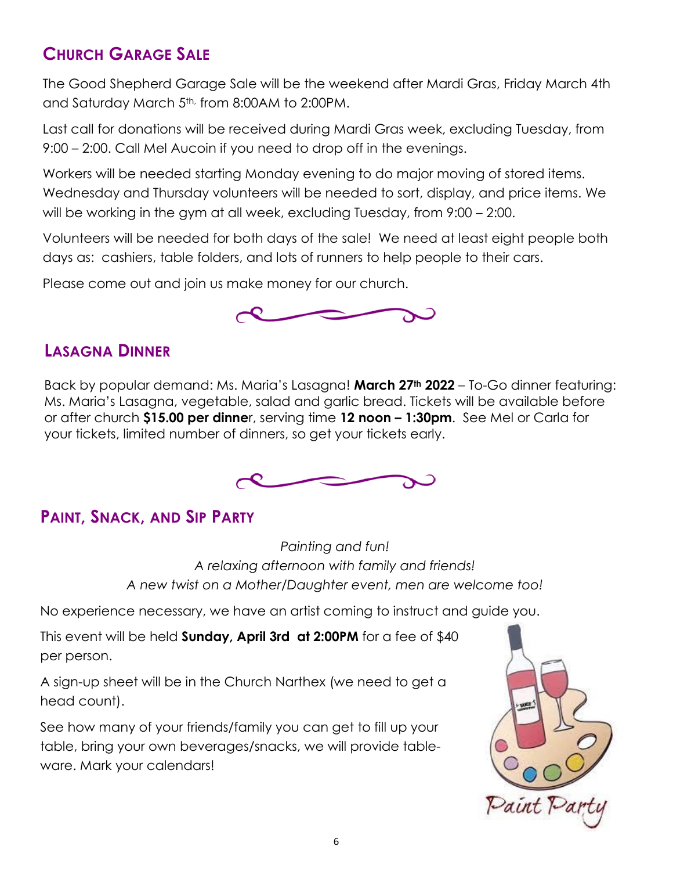# **CHURCH GARAGE SALE**

The Good Shepherd Garage Sale will be the weekend after Mardi Gras, Friday March 4th and Saturday March 5<sup>th,</sup> from 8:00AM to 2:00PM.

Last call for donations will be received during Mardi Gras week, excluding Tuesday, from 9:00 – 2:00. Call Mel Aucoin if you need to drop off in the evenings.

Workers will be needed starting Monday evening to do major moving of stored items. Wednesday and Thursday volunteers will be needed to sort, display, and price items. We will be working in the gym at all week, excluding Tuesday, from 9:00 – 2:00.

Volunteers will be needed for both days of the sale! We need at least eight people both days as: cashiers, table folders, and lots of runners to help people to their cars.

Please come out and join us make money for our church.



# **LASAGNA DINNER**

Back by popular demand: Ms. Maria's Lasagna! **March 27th 2022** – To-Go dinner featuring: Ms. Maria's Lasagna, vegetable, salad and garlic bread. Tickets will be available before or after church **\$15.00 per dinne**r, serving time **12 noon – 1:30pm**. See Mel or Carla for your tickets, limited number of dinners, so get your tickets early.



# **PAINT, SNACK, AND SIP PARTY**

*Painting and fun! A relaxing afternoon with family and friends! A new twist on a Mother/Daughter event, men are welcome too!*

No experience necessary, we have an artist coming to instruct and guide you.

This event will be held **Sunday, April 3rd at 2:00PM** for a fee of \$40 per person.

A sign-up sheet will be in the Church Narthex (we need to get a head count).

See how many of your friends/family you can get to fill up your table, bring your own beverages/snacks, we will provide tableware. Mark your calendars!

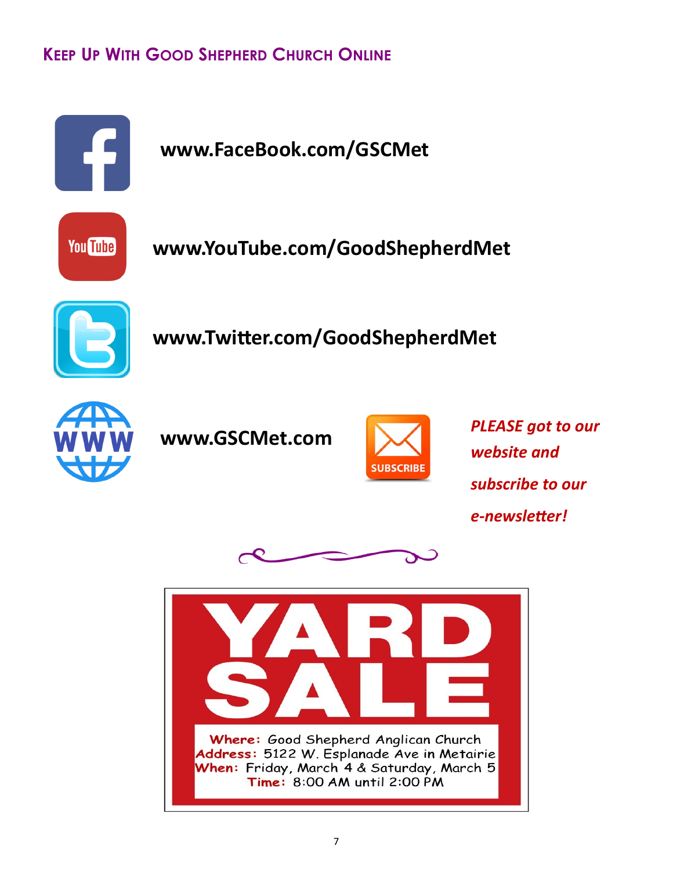# **KEEP UP WITH GOOD SHEPHERD CHURCH ONLINE**





**www.YouTube.com/GoodShepherdMet**



**www.Twitter.com/GoodShepherdMet**







*PLEASE got to our website and subscribe to our e-newsletter!*